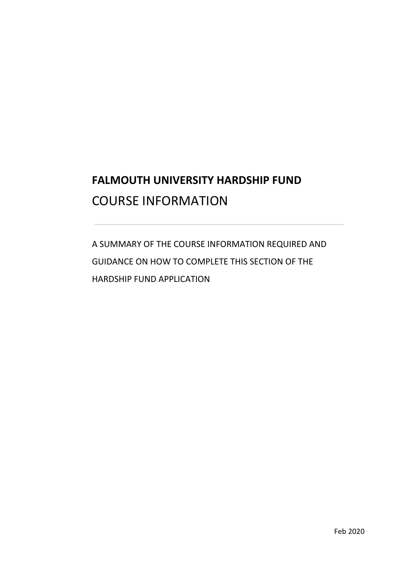# **FALMOUTH UNIVERSITY HARDSHIP FUND**  COURSE INFORMATION

 GUIDANCE ON HOW TO COMPLETE THIS SECTION OF THE A SUMMARY OF THE COURSE INFORMATION REQUIRED AND HARDSHIP FUND APPLICATION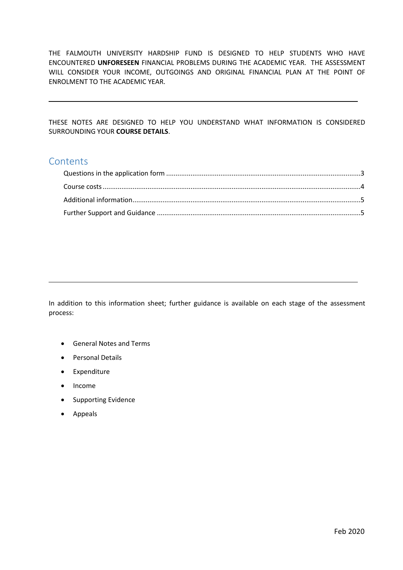THE FALMOUTH UNIVERSITY HARDSHIP FUND IS DESIGNED TO HELP STUDENTS WHO HAVE ENCOUNTERED **UNFORESEEN** FINANCIAL PROBLEMS DURING THE ACADEMIC YEAR. THE ASSESSMENT WILL CONSIDER YOUR INCOME, OUTGOINGS AND ORIGINAL FINANCIAL PLAN AT THE POINT OF ENROLMENT TO THE ACADEMIC YEAR.

 THESE NOTES ARE DESIGNED TO HELP YOU UNDERSTAND WHAT INFORMATION IS CONSIDERED SURROUNDING YOUR **COURSE DETAILS**.

## **Contents**

 In addition to this information sheet; further guidance is available on each stage of the assessment process:

- General Notes and Terms
- Personal Details
- Expenditure
- Income
- Supporting Evidence
- Appeals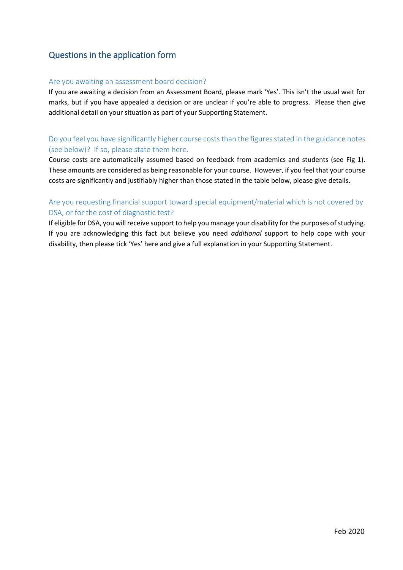# <span id="page-2-0"></span>Questions in the application form

## Are you awaiting an assessment board decision?

 If you are awaiting a decision from an Assessment Board, please mark 'Yes'. This isn't the usual wait for marks, but if you have appealed a decision or are unclear if you're able to progress. Please then give additional detail on your situation as part of your Supporting Statement.

## Do you feel you have significantly higher course costs than the figures stated in the guidance notes (see below)? If so, please state them here.

 Course costs are automatically assumed based on feedback from academics and students (see Fig 1). These amounts are considered as being reasonable for your course. However, if you feel that your course costs are significantly and justifiably higher than those stated in the table below, please give details.

## DSA, or for the cost of diagnostic test? Are you requesting financial support toward special equipment/material which is not covered by

 If eligible for DSA, you will receive support to help you manage your disability for the purposes of studying. If you are acknowledging this fact but believe you need *additional* support to help cope with your disability, then please tick 'Yes' here and give a full explanation in your Supporting Statement.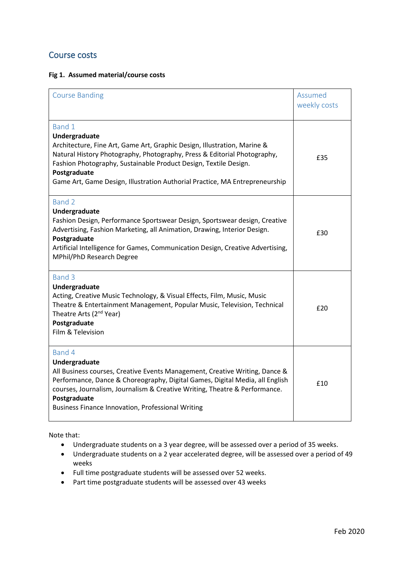## <span id="page-3-0"></span>Course costs

## **Fig 1. Assumed material/course costs**

| <b>Course Banding</b>                                                                                                                                                                                                                                                                                                                              | Assumed<br>weekly costs |
|----------------------------------------------------------------------------------------------------------------------------------------------------------------------------------------------------------------------------------------------------------------------------------------------------------------------------------------------------|-------------------------|
| Band 1<br>Undergraduate<br>Architecture, Fine Art, Game Art, Graphic Design, Illustration, Marine &<br>Natural History Photography, Photography, Press & Editorial Photography,<br>Fashion Photography, Sustainable Product Design, Textile Design.<br>Postgraduate<br>Game Art, Game Design, Illustration Authorial Practice, MA Entrepreneurship | £35                     |
| Band 2<br>Undergraduate<br>Fashion Design, Performance Sportswear Design, Sportswear design, Creative<br>Advertising, Fashion Marketing, all Animation, Drawing, Interior Design.<br>Postgraduate<br>Artificial Intelligence for Games, Communication Design, Creative Advertising,<br>MPhil/PhD Research Degree                                   | £30                     |
| Band 3<br>Undergraduate<br>Acting, Creative Music Technology, & Visual Effects, Film, Music, Music<br>Theatre & Entertainment Management, Popular Music, Television, Technical<br>Theatre Arts (2 <sup>nd</sup> Year)<br>Postgraduate<br>Film & Television                                                                                         | £20                     |
| Band 4<br>Undergraduate<br>All Business courses, Creative Events Management, Creative Writing, Dance &<br>Performance, Dance & Choreography, Digital Games, Digital Media, all English<br>courses, Journalism, Journalism & Creative Writing, Theatre & Performance.<br>Postgraduate<br><b>Business Finance Innovation, Professional Writing</b>   | £10                     |

Note that:

- Undergraduate students on a 3 year degree, will be assessed over a period of 35 weeks.
- • Undergraduate students on a 2 year accelerated degree, will be assessed over a period of 49 weeks
- Full time postgraduate students will be assessed over 52 weeks.
- Part time postgraduate students will be assessed over 43 weeks